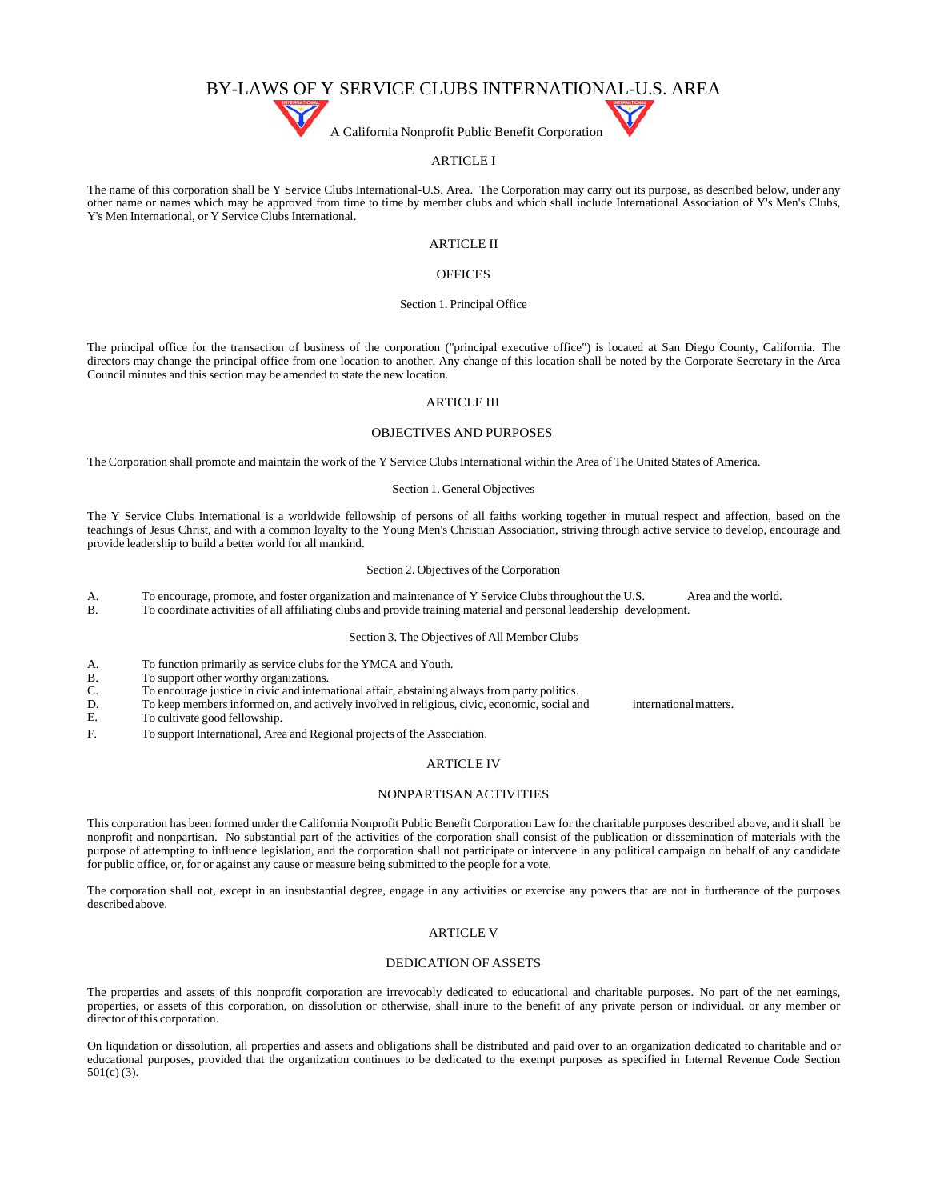# BY-LAWS OF Y SERVICE CLUBS INTERNATIONAL-U.S. AREA

A California Nonprofit Public Benefit Corporation

# ARTICLE I

The name of this corporation shall be Y Service Clubs International-U.S. Area. The Corporation may carry out its purpose, as described below, under any other name or names which may be approved from time to time by member clubs and which shall include International Association of Y's Men's Clubs, Y's Men International, or Y Service Clubs International.

# ARTICLE II

# **OFFICES**

## Section 1. Principal Office

The principal office for the transaction of business of the corporation ("principal executive office") is located at San Diego County, California. The directors may change the principal office from one location to another. Any change of this location shall be noted by the Corporate Secretary in the Area Council minutes and this section may be amended to state the new location.

## ARTICLE III

# OBJECTIVES AND PURPOSES

The Corporation shall promote and maintain the work of the Y Service Clubs International within the Area of The United States of America.

## Section 1. General Objectives

The Y Service Clubs International is a worldwide fellowship of persons of all faiths working together in mutual respect and affection, based on the teachings of Jesus Christ, and with a common loyalty to the Young Men's Christian Association, striving through active service to develop, encourage and provide leadership to build a better world for all mankind.

#### Section 2. Objectives of the Corporation

A. To encourage, promote, and foster organization and maintenance of Y Service Clubs throughout the U.S. Area and the world.<br>B. To coordinate activities of all affiliating clubs and provide training material and personal l

B. To coordinate activities of all affiliating clubs and provide training material and personal leadership development.

# Section 3. The Objectives of All Member Clubs

- A. To function primarily as service clubs for the YMCA and Youth.
- B. To support other worthy organizations.
- C. To encourage justice in civic and international affair, abstaining always from party politics.
- D. To keep membersinformed on, and actively involved in religious, civic, economic, social and internationalmatters.

E. To cultivate good fellowship.

F. To support International, Area and Regional projects of the Association.

# ARTICLE IV

### NONPARTISAN ACTIVITIES

This corporation has been formed under the California Nonprofit Public Benefit Corporation Law for the charitable purposes described above, and it shall be nonprofit and nonpartisan. No substantial part of the activities of the corporation shall consist of the publication or dissemination of materials with the purpose of attempting to influence legislation, and the corporation shall not participate or intervene in any political campaign on behalf of any candidate for public office, or, for or against any cause or measure being submitted to the people for a vote.

The corporation shall not, except in an insubstantial degree, engage in any activities or exercise any powers that are not in furtherance of the purposes described above.

# ARTICLE V

#### DEDICATION OF ASSETS

The properties and assets of this nonprofit corporation are irrevocably dedicated to educational and charitable purposes. No part of the net earnings, properties, or assets of this corporation, on dissolution or otherwise, shall inure to the benefit of any private person or individual. or any member or director of this corporation.

On liquidation or dissolution, all properties and assets and obligations shall be distributed and paid over to an organization dedicated to charitable and or educational purposes, provided that the organization continues to be dedicated to the exempt purposes as specified in Internal Revenue Code Section 501(c) (3).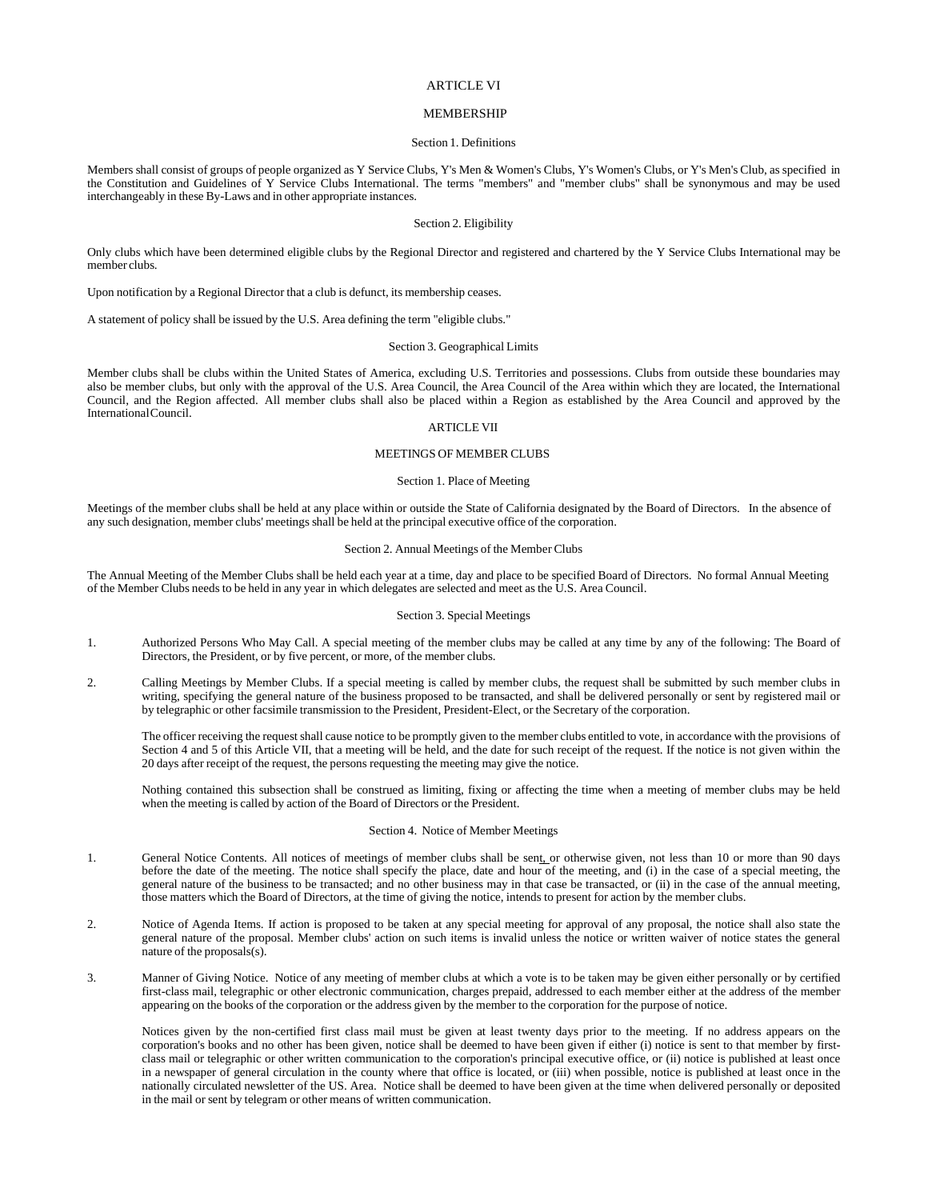# ARTICLE VI

## **MEMBERSHIP**

#### Section 1. Definitions

Members shall consist of groups of people organized as Y Service Clubs, Y's Men & Women's Clubs, Y's Women's Clubs, or Y's Men's Club, as specified in the Constitution and Guidelines of Y Service Clubs International. The terms "members" and "member clubs" shall be synonymous and may be used interchangeably in these By-Laws and in other appropriate instances.

# Section 2. Eligibility

Only clubs which have been determined eligible clubs by the Regional Director and registered and chartered by the Y Service Clubs International may be member clubs.

Upon notification by a Regional Director that a club is defunct, its membership ceases.

A statement of policy shall be issued by the U.S. Area defining the term "eligible clubs."

# Section 3. Geographical Limits

Member clubs shall be clubs within the United States of America, excluding U.S. Territories and possessions. Clubs from outside these boundaries may also be member clubs, but only with the approval of the U.S. Area Council, the Area Council of the Area within which they are located, the International Council, and the Region affected. All member clubs shall also be placed within a Region as established by the Area Council and approved by the InternationalCouncil.

# ARTICLE VII

## MEETINGS OF MEMBER CLUBS

# Section 1. Place of Meeting

Meetings of the member clubs shall be held at any place within or outside the State of California designated by the Board of Directors. In the absence of any such designation, member clubs' meetingsshall be held at the principal executive office of the corporation.

### Section 2. Annual Meetings of the Member Clubs

The Annual Meeting of the Member Clubs shall be held each year at a time, day and place to be specified Board of Directors. No formal Annual Meeting of the Member Clubs needs to be held in any year in which delegates are selected and meet asthe U.S. Area Council.

### Section 3. Special Meetings

- 1. Authorized Persons Who May Call. A special meeting of the member clubs may be called at any time by any of the following: The Board of Directors, the President, or by five percent, or more, of the member clubs.
- 2. Calling Meetings by Member Clubs. If a special meeting is called by member clubs, the request shall be submitted by such member clubs in writing, specifying the general nature of the business proposed to be transacted, and shall be delivered personally or sent by registered mail or by telegraphic or other facsimile transmission to the President, President-Elect, or the Secretary of the corporation.

The officer receiving the request shall cause notice to be promptly given to the member clubs entitled to vote, in accordance with the provisions of Section 4 and 5 of this Article VII, that a meeting will be held, and the date for such receipt of the request. If the notice is not given within the 20 days after receipt of the request, the persons requesting the meeting may give the notice.

Nothing contained this subsection shall be construed as limiting, fixing or affecting the time when a meeting of member clubs may be held when the meeting is called by action of the Board of Directors or the President.

## Section 4. Notice of Member Meetings

- 1. General Notice Contents. All notices of meetings of member clubs shall be sent, or otherwise given, not less than 10 or more than 90 days before the date of the meeting. The notice shall specify the place, date and hour of the meeting, and (i) in the case of a special meeting, the general nature of the business to be transacted; and no other business may in that case be transacted, or (ii) in the case of the annual meeting, those matters which the Board of Directors, at the time of giving the notice, intends to present for action by the member clubs.
- 2. Notice of Agenda Items. If action is proposed to be taken at any special meeting for approval of any proposal, the notice shall also state the general nature of the proposal. Member clubs' action on such items is invalid unless the notice or written waiver of notice states the general nature of the proposals(s).
- 3. Manner of Giving Notice. Notice of any meeting of member clubs at which a vote is to be taken may be given either personally or by certified first-class mail, telegraphic or other electronic communication, charges prepaid, addressed to each member either at the address of the member appearing on the books of the corporation or the address given by the member to the corporation for the purpose of notice.

Notices given by the non-certified first class mail must be given at least twenty days prior to the meeting. If no address appears on the corporation's books and no other has been given, notice shall be deemed to have been given if either (i) notice is sent to that member by firstclass mail or telegraphic or other written communication to the corporation's principal executive office, or (ii) notice is published at least once in a newspaper of general circulation in the county where that office is located, or (iii) when possible, notice is published at least once in the nationally circulated newsletter of the US. Area. Notice shall be deemed to have been given at the time when delivered personally or deposited in the mail or sent by telegram or other means of written communication.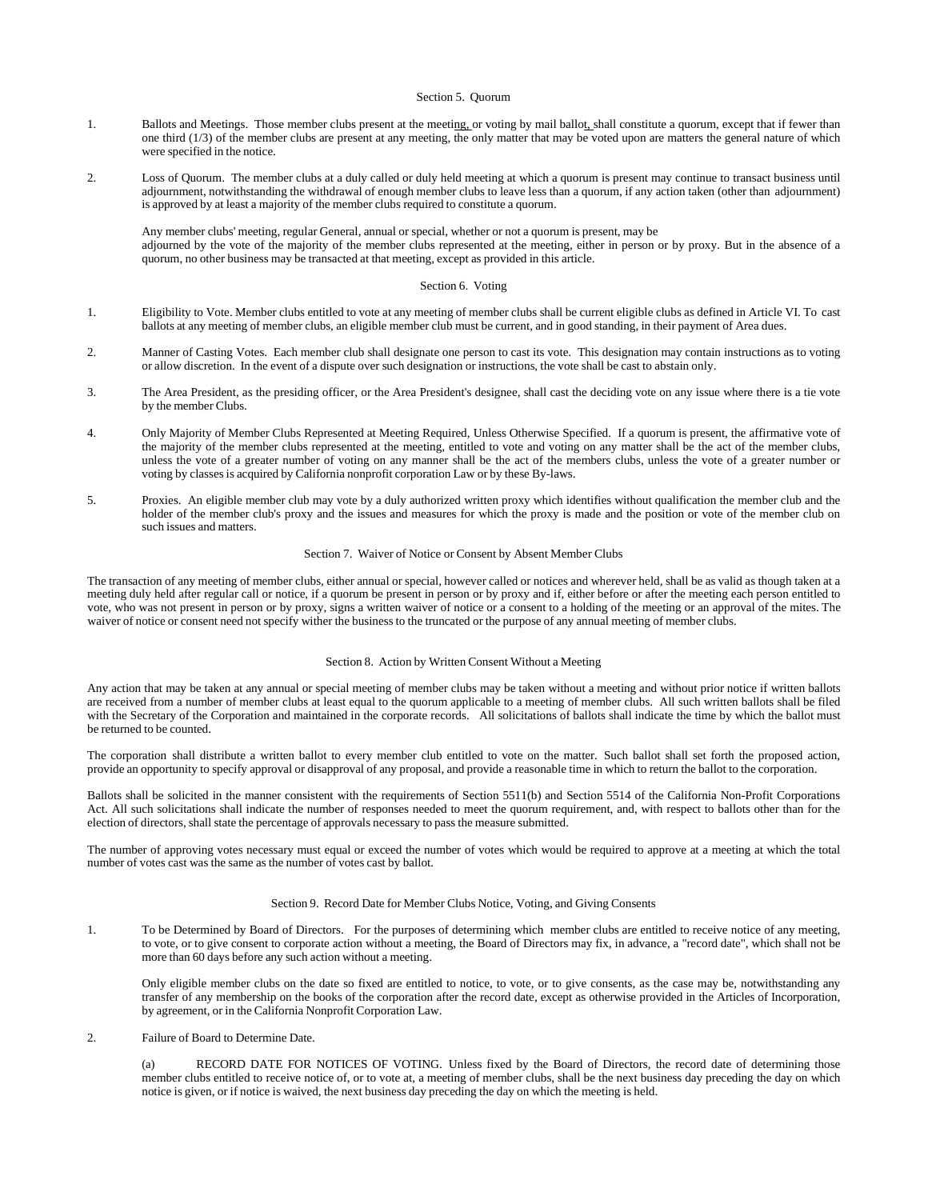#### Section 5. Quorum

- 1. Ballots and Meetings. Those member clubs present at the meeting, or voting by mail ballot, shall constitute a quorum, except that if fewer than one third (1/3) of the member clubs are present at any meeting, the only matter that may be voted upon are matters the general nature of which were specified in the notice.
- 2. Loss of Quorum. The member clubs at a duly called or duly held meeting at which a quorum is present may continue to transact business until adjournment, notwithstanding the withdrawal of enough member clubs to leave less than a quorum, if any action taken (other than adjournment) is approved by at least a majority of the member clubs required to constitute a quorum.

Any member clubs' meeting, regular General, annual or special, whether or not a quorum is present, may be adjourned by the vote of the majority of the member clubs represented at the meeting, either in person or by proxy. But in the absence of a quorum, no other business may be transacted at that meeting, except as provided in this article.

#### Section 6. Voting

- 1. Eligibility to Vote. Member clubs entitled to vote at any meeting of member clubs shall be current eligible clubs as defined in Article VI. To cast ballots at any meeting of member clubs, an eligible member club must be current, and in good standing, in their payment of Area dues.
- 2. Manner of Casting Votes. Each member club shall designate one person to cast its vote. This designation may contain instructions as to voting or allow discretion. In the event of a dispute over such designation or instructions, the vote shall be cast to abstain only.
- 3. The Area President, as the presiding officer, or the Area President's designee, shall cast the deciding vote on any issue where there is a tie vote by the member Clubs.
- 4. Only Majority of Member Clubs Represented at Meeting Required, Unless Otherwise Specified. If a quorum is present, the affirmative vote of the majority of the member clubs represented at the meeting, entitled to vote and voting on any matter shall be the act of the member clubs, unless the vote of a greater number of voting on any manner shall be the act of the members clubs, unless the vote of a greater number or voting by classesis acquired by California nonprofit corporation Law or by these By-laws.
- 5. Proxies. An eligible member club may vote by a duly authorized written proxy which identifies without qualification the member club and the holder of the member club's proxy and the issues and measures for which the proxy is made and the position or vote of the member club on such issues and matters.

#### Section 7. Waiver of Notice or Consent by Absent Member Clubs

The transaction of any meeting of member clubs, either annual or special, however called or notices and wherever held, shall be as valid as though taken at a meeting duly held after regular call or notice, if a quorum be present in person or by proxy and if, either before or after the meeting each person entitled to vote, who was not present in person or by proxy, signs a written waiver of notice or a consent to a holding of the meeting or an approval of the mites. The waiver of notice or consent need not specify wither the businessto the truncated or the purpose of any annual meeting of member clubs.

# Section 8. Action by Written Consent Without a Meeting

Any action that may be taken at any annual or special meeting of member clubs may be taken without a meeting and without prior notice if written ballots are received from a number of member clubs at least equal to the quorum applicable to a meeting of member clubs. All such written ballots shall be filed with the Secretary of the Corporation and maintained in the corporate records. All solicitations of ballots shall indicate the time by which the ballot must be returned to be counted.

The corporation shall distribute a written ballot to every member club entitled to vote on the matter. Such ballot shall set forth the proposed action, provide an opportunity to specify approval or disapproval of any proposal, and provide a reasonable time in which to return the ballot to the corporation.

Ballots shall be solicited in the manner consistent with the requirements of Section 5511(b) and Section 5514 of the California Non-Profit Corporations Act. All such solicitations shall indicate the number of responses needed to meet the quorum requirement, and, with respect to ballots other than for the election of directors, shall state the percentage of approvals necessary to passthe measure submitted.

The number of approving votes necessary must equal or exceed the number of votes which would be required to approve at a meeting at which the total number of votes cast was the same as the number of votes cast by ballot.

#### Section 9. Record Date for Member Clubs Notice, Voting, and Giving Consents

1. To be Determined by Board of Directors. For the purposes of determining which member clubs are entitled to receive notice of any meeting, to vote, or to give consent to corporate action without a meeting, the Board of Directors may fix, in advance, a "record date", which shall not be more than 60 days before any such action without a meeting.

Only eligible member clubs on the date so fixed are entitled to notice, to vote, or to give consents, as the case may be, notwithstanding any transfer of any membership on the books of the corporation after the record date, except as otherwise provided in the Articles of Incorporation, by agreement, or in the California Nonprofit Corporation Law.

## 2. Failure of Board to Determine Date.

(a) RECORD DATE FOR NOTICES OF VOTING. Unless fixed by the Board of Directors, the record date of determining those member clubs entitled to receive notice of, or to vote at, a meeting of member clubs, shall be the next business day preceding the day on which notice is given, or if notice is waived, the next business day preceding the day on which the meeting is held.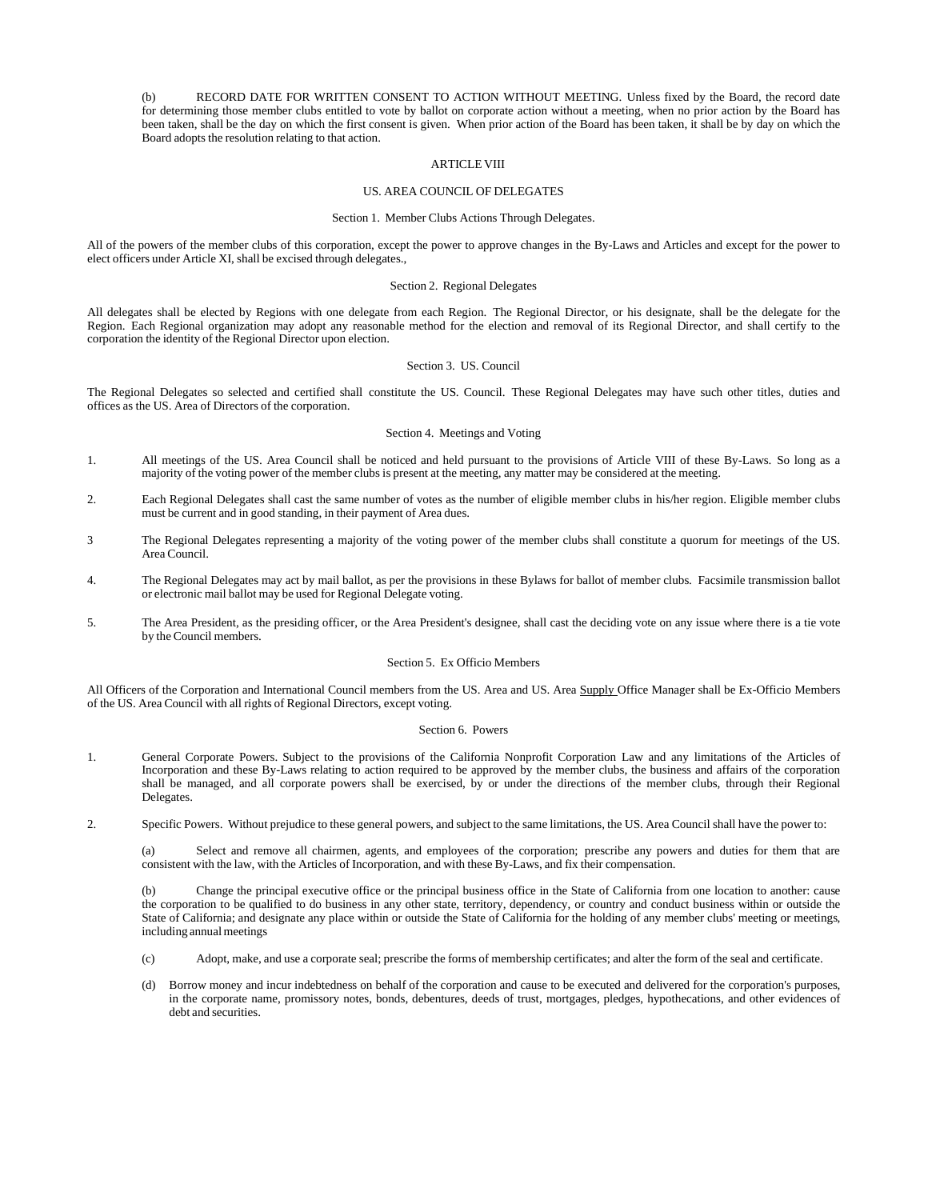(b) RECORD DATE FOR WRITTEN CONSENT TO ACTION WITHOUT MEETING. Unless fixed by the Board, the record date for determining those member clubs entitled to vote by ballot on corporate action without a meeting, when no prior action by the Board has been taken, shall be the day on which the first consent is given. When prior action of the Board has been taken, it shall be by day on which the Board adopts the resolution relating to that action.

### ARTICLE VIII

# US. AREA COUNCIL OF DELEGATES

#### Section 1. Member Clubs Actions Through Delegates.

All of the powers of the member clubs of this corporation, except the power to approve changes in the By-Laws and Articles and except for the power to elect officers under Article XI, shall be excised through delegates.,

### Section 2. Regional Delegates

All delegates shall be elected by Regions with one delegate from each Region. The Regional Director, or his designate, shall be the delegate for the Region. Each Regional organization may adopt any reasonable method for the election and removal of its Regional Director, and shall certify to the corporation the identity of the Regional Director upon election.

# Section 3. US. Council

The Regional Delegates so selected and certified shall constitute the US. Council. These Regional Delegates may have such other titles, duties and offices as the US. Area of Directors of the corporation.

#### Section 4. Meetings and Voting

- 1. All meetings of the US. Area Council shall be noticed and held pursuant to the provisions of Article VIII of these By-Laws. So long as a majority of the voting power of the member clubs is present at the meeting, any matter may be considered at the meeting.
- 2. Each Regional Delegates shall cast the same number of votes as the number of eligible member clubs in his/her region. Eligible member clubs must be current and in good standing, in their payment of Area dues.
- 3 The Regional Delegates representing a majority of the voting power of the member clubs shall constitute a quorum for meetings of the US. Area Council.
- 4. The Regional Delegates may act by mail ballot, as per the provisions in these Bylaws for ballot of member clubs. Facsimile transmission ballot or electronic mail ballot may be used for Regional Delegate voting.
- 5. The Area President, as the presiding officer, or the Area President's designee, shall cast the deciding vote on any issue where there is a tie vote by the Council members.

#### Section 5. Ex Officio Members

All Officers of the Corporation and International Council members from the US. Area and US. Area Supply Office Manager shall be Ex-Officio Members of the US. Area Council with all rights of Regional Directors, except voting.

### Section 6. Powers

- 1. General Corporate Powers. Subject to the provisions of the California Nonprofit Corporation Law and any limitations of the Articles of Incorporation and these By-Laws relating to action required to be approved by the member clubs, the business and affairs of the corporation shall be managed, and all corporate powers shall be exercised, by or under the directions of the member clubs, through their Regional Delegates.
- 2. Specific Powers. Without prejudice to these general powers, and subject to the same limitations, the US. Area Council shall have the power to:

(a) Select and remove all chairmen, agents, and employees of the corporation; prescribe any powers and duties for them that are consistent with the law, with the Articles of Incorporation, and with these By-Laws, and fix their compensation.

(b) Change the principal executive office or the principal business office in the State of California from one location to another: cause the corporation to be qualified to do business in any other state, territory, dependency, or country and conduct business within or outside the State of California; and designate any place within or outside the State of California for the holding of any member clubs' meeting or meetings, including annual meetings

- (c) Adopt, make, and use a corporate seal; prescribe the forms of membership certificates; and alter the form of the seal and certificate.
- (d) Borrow money and incur indebtedness on behalf of the corporation and cause to be executed and delivered for the corporation's purposes, in the corporate name, promissory notes, bonds, debentures, deeds of trust, mortgages, pledges, hypothecations, and other evidences of debt and securities.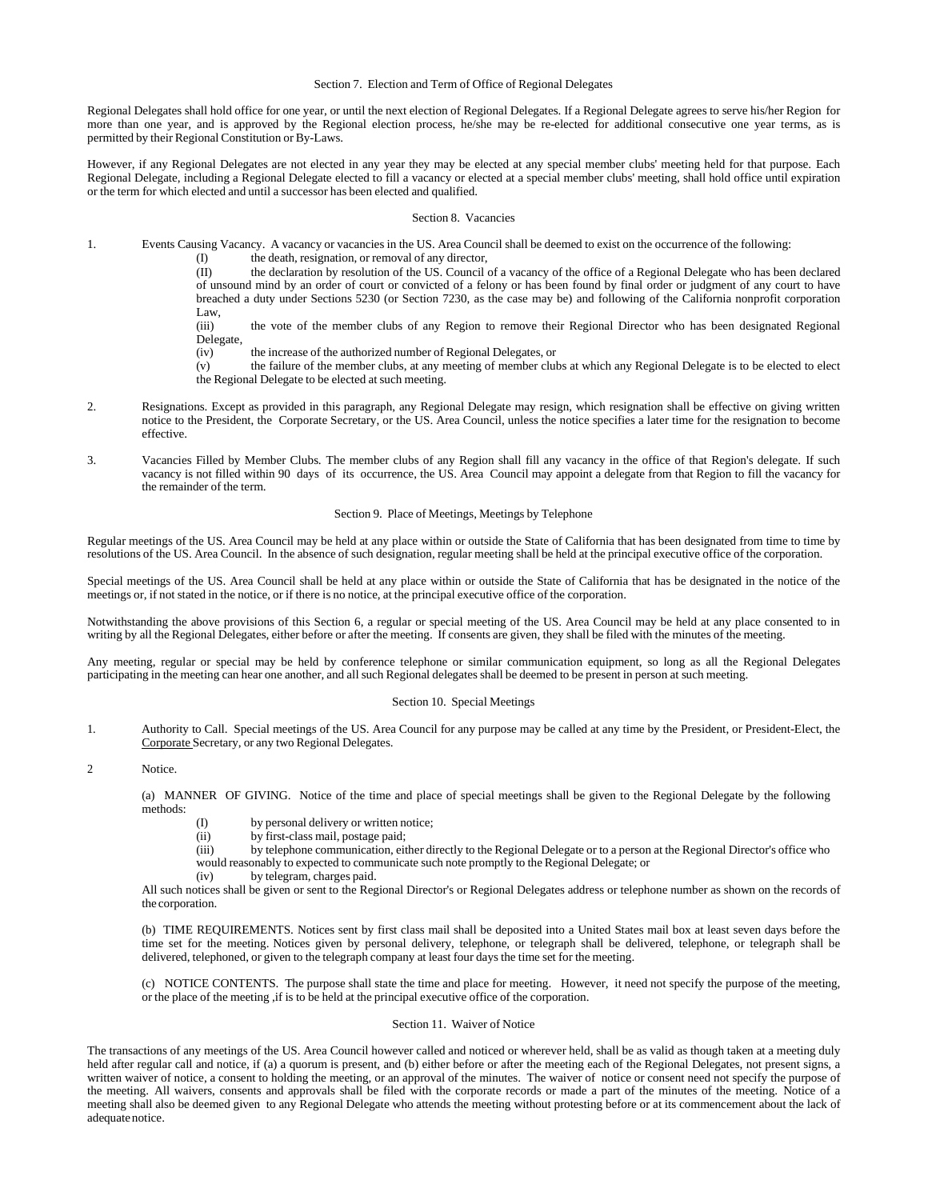### Section 7. Election and Term of Office of Regional Delegates

Regional Delegates shall hold office for one year, or until the next election of Regional Delegates. If a Regional Delegate agrees to serve his/her Region for more than one year, and is approved by the Regional election process, he/she may be re-elected for additional consecutive one year terms, as is permitted by their Regional Constitution or By-Laws.

However, if any Regional Delegates are not elected in any year they may be elected at any special member clubs' meeting held for that purpose. Each Regional Delegate, including a Regional Delegate elected to fill a vacancy or elected at a special member clubs' meeting, shall hold office until expiration or the term for which elected and until a successor has been elected and qualified.

#### Section 8. Vacancies

- 1. Events Causing Vacancy. A vacancy or vacancies in the US. Area Council shall be deemed to exist on the occurrence of the following:
	- (I) the death, resignation, or removal of any director,<br>(II) the declaration by resolution of the US. Council

the declaration by resolution of the US. Council of a vacancy of the office of a Regional Delegate who has been declared of unsound mind by an order of court or convicted of a felony or has been found by final order or judgment of any court to have breached a duty under Sections 5230 (or Section 7230, as the case may be) and following of the California nonprofit corporation Law,<br>(iii)

the vote of the member clubs of any Region to remove their Regional Director who has been designated Regional Delegate,

- (iv) the increase of the authorized number of Regional Delegates, or
- (v) the failure of the member clubs, at any meeting of member clubs at which any Regional Delegate is to be elected to elect the Regional Delegate to be elected at such meeting.
- 2. Resignations. Except as provided in this paragraph, any Regional Delegate may resign, which resignation shall be effective on giving written notice to the President, the Corporate Secretary, or the US. Area Council, unless the notice specifies a later time for the resignation to become effective.
- 3. Vacancies Filled by Member Clubs. The member clubs of any Region shall fill any vacancy in the office of that Region's delegate. If such vacancy is not filled within 90 days of its occurrence, the US. Area Council may appoint a delegate from that Region to fill the vacancy for the remainder of the term.

### Section 9. Place of Meetings, Meetings by Telephone

Regular meetings of the US. Area Council may be held at any place within or outside the State of California that has been designated from time to time by resolutions of the US. Area Council. In the absence of such designation, regular meeting shall be held at the principal executive office of the corporation.

Special meetings of the US. Area Council shall be held at any place within or outside the State of California that has be designated in the notice of the meetings or, if not stated in the notice, or if there is no notice, at the principal executive office of the corporation.

Notwithstanding the above provisions of this Section 6, a regular or special meeting of the US. Area Council may be held at any place consented to in writing by all the Regional Delegates, either before or after the meeting. If consents are given, they shall be filed with the minutes of the meeting.

Any meeting, regular or special may be held by conference telephone or similar communication equipment, so long as all the Regional Delegates participating in the meeting can hear one another, and all such Regional delegates shall be deemed to be present in person at such meeting.

#### Section 10. Special Meetings

1. Authority to Call. Special meetings of the US. Area Council for any purpose may be called at any time by the President, or President-Elect, the Corporate Secretary, or any two Regional Delegates.

2 Notice.

(a) MANNER OF GIVING. Notice of the time and place of special meetings shall be given to the Regional Delegate by the following methods:

- (I) by personal delivery or written notice;
- (ii) by first-class mail, postage paid;
- (iii) by telephone communication, either directly to the Regional Delegate or to a person at the Regional Director's office who would reasonably to expected to communicate such note promptly to the Regional Delegate; or
- (iv) by telegram, charges paid.

All such notices shall be given or sent to the Regional Director's or Regional Delegates address or telephone number as shown on the records of the corporation.

(b) TIME REQUIREMENTS. Notices sent by first class mail shall be deposited into a United States mail box at least seven days before the time set for the meeting. Notices given by personal delivery, telephone, or telegraph shall be delivered, telephone, or telegraph shall be delivered, telephoned, or given to the telegraph company at least four days the time set for the meeting.

(c) NOTICE CONTENTS. The purpose shall state the time and place for meeting. However, it need not specify the purpose of the meeting, or the place of the meeting ,if is to be held at the principal executive office of the corporation.

### Section 11. Waiver of Notice

The transactions of any meetings of the US. Area Council however called and noticed or wherever held, shall be as valid as though taken at a meeting duly held after regular call and notice, if (a) a quorum is present, and (b) either before or after the meeting each of the Regional Delegates, not present signs, a written waiver of notice, a consent to holding the meeting, or an approval of the minutes. The waiver of notice or consent need not specify the purpose of the meeting. All waivers, consents and approvals shall be filed with the corporate records or made a part of the minutes of the meeting. Notice of a meeting shall also be deemed given to any Regional Delegate who attends the meeting without protesting before or at its commencement about the lack of adequatenotice.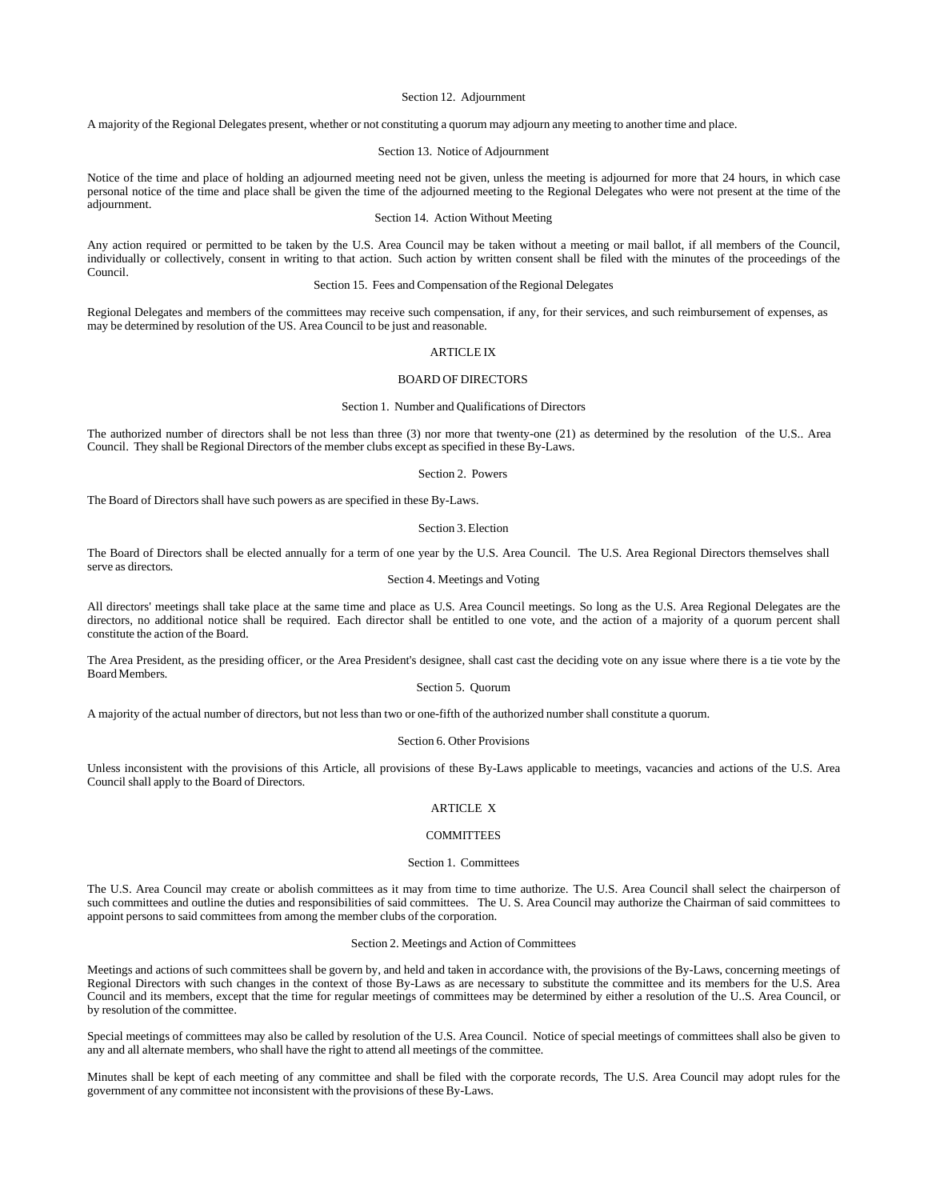### Section 12. Adjournment

A majority of the Regional Delegates present, whether or not constituting a quorum may adjourn any meeting to another time and place.

### Section 13. Notice of Adjournment

Notice of the time and place of holding an adjourned meeting need not be given, unless the meeting is adjourned for more that 24 hours, in which case personal notice of the time and place shall be given the time of the adjourned meeting to the Regional Delegates who were not present at the time of the adjournment.

### Section 14. Action Without Meeting

Any action required or permitted to be taken by the U.S. Area Council may be taken without a meeting or mail ballot, if all members of the Council, individually or collectively, consent in writing to that action. Such action by written consent shall be filed with the minutes of the proceedings of the Council.

### Section 15. Fees and Compensation of the Regional Delegates

Regional Delegates and members of the committees may receive such compensation, if any, for their services, and such reimbursement of expenses, as may be determined by resolution of the US. Area Council to be just and reasonable.

## ARTICLE IX

### BOARD OF DIRECTORS

### Section 1. Number and Qualifications of Directors

The authorized number of directors shall be not less than three (3) nor more that twenty-one (21) as determined by the resolution of the U.S.. Area Council. They shall be Regional Directors of the member clubs except as specified in these By-Laws.

#### Section 2. Powers

The Board of Directors shall have such powers as are specified in these By-Laws.

#### Section 3. Election

The Board of Directors shall be elected annually for a term of one year by the U.S. Area Council. The U.S. Area Regional Directors themselves shall serve as directors.

## Section 4. Meetings and Voting

All directors' meetings shall take place at the same time and place as U.S. Area Council meetings. So long as the U.S. Area Regional Delegates are the directors, no additional notice shall be required. Each director shall be entitled to one vote, and the action of a majority of a quorum percent shall constitute the action of the Board.

The Area President, as the presiding officer, or the Area President's designee, shall cast cast the deciding vote on any issue where there is a tie vote by the BoardMembers.

# Section 5. Quorum

A majority of the actual number of directors, but not less than two or one-fifth of the authorized number shall constitute a quorum.

### Section 6. Other Provisions

Unless inconsistent with the provisions of this Article, all provisions of these By-Laws applicable to meetings, vacancies and actions of the U.S. Area Council shall apply to the Board of Directors.

## ARTICLE X

### **COMMITTEES**

#### Section 1. Committees

The U.S. Area Council may create or abolish committees as it may from time to time authorize. The U.S. Area Council shall select the chairperson of such committees and outline the duties and responsibilities of said committees. The U.S. Area Council may authorize the Chairman of said committees to appoint persons to said committees from among the member clubs of the corporation.

#### Section 2. Meetings and Action of Committees

Meetings and actions of such committees shall be govern by, and held and taken in accordance with, the provisions of the By-Laws, concerning meetings of Regional Directors with such changes in the context of those By-Laws as are necessary to substitute the committee and its members for the U.S. Area Council and its members, except that the time for regular meetings of committees may be determined by either a resolution of the U..S. Area Council, or by resolution of the committee.

Special meetings of committees may also be called by resolution of the U.S. Area Council. Notice of special meetings of committees shall also be given to any and all alternate members, who shall have the right to attend all meetings of the committee.

Minutes shall be kept of each meeting of any committee and shall be filed with the corporate records, The U.S. Area Council may adopt rules for the government of any committee not inconsistent with the provisions of these By-Laws.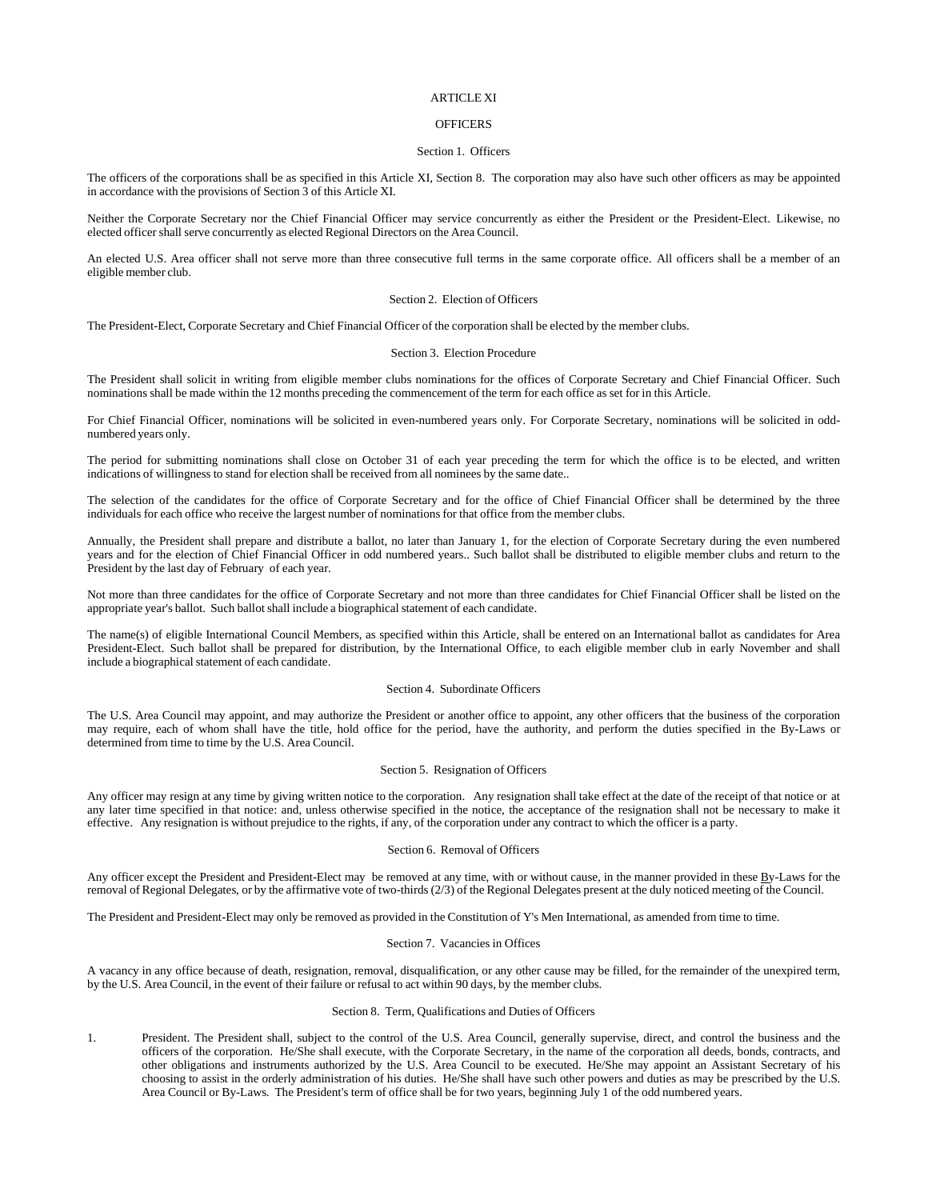### ARTICLE XI

# **OFFICERS**

### Section 1. Officers

The officers of the corporations shall be as specified in this Article XI, Section 8. The corporation may also have such other officers as may be appointed in accordance with the provisions of Section 3 of this Article XI.

Neither the Corporate Secretary nor the Chief Financial Officer may service concurrently as either the President or the President-Elect. Likewise, no elected officer shall serve concurrently as elected Regional Directors on the Area Council.

An elected U.S. Area officer shall not serve more than three consecutive full terms in the same corporate office. All officers shall be a member of an eligible member club.

### Section 2. Election of Officers

The President-Elect, Corporate Secretary and Chief Financial Officer of the corporation shall be elected by the member clubs.

## Section 3. Election Procedure

The President shall solicit in writing from eligible member clubs nominations for the offices of Corporate Secretary and Chief Financial Officer. Such nominations shall be made within the 12 months preceding the commencement of the term for each office as set for in this Article.

For Chief Financial Officer, nominations will be solicited in even-numbered years only. For Corporate Secretary, nominations will be solicited in oddnumbered years only.

The period for submitting nominations shall close on October 31 of each year preceding the term for which the office is to be elected, and written indications of willingness to stand for election shall be received from all nominees by the same date..

The selection of the candidates for the office of Corporate Secretary and for the office of Chief Financial Officer shall be determined by the three individuals for each office who receive the largest number of nominations for that office from the member clubs.

Annually, the President shall prepare and distribute a ballot, no later than January 1, for the election of Corporate Secretary during the even numbered years and for the election of Chief Financial Officer in odd numbered years.. Such ballot shall be distributed to eligible member clubs and return to the President by the last day of February of each year.

Not more than three candidates for the office of Corporate Secretary and not more than three candidates for Chief Financial Officer shall be listed on the appropriate year's ballot. Such ballot shall include a biographical statement of each candidate.

The name(s) of eligible International Council Members, as specified within this Article, shall be entered on an International ballot as candidates for Area President-Elect. Such ballot shall be prepared for distribution, by the International Office, to each eligible member club in early November and shall include a biographical statement of each candidate.

### Section 4. Subordinate Officers

The U.S. Area Council may appoint, and may authorize the President or another office to appoint, any other officers that the business of the corporation may require, each of whom shall have the title, hold office for the period, have the authority, and perform the duties specified in the By-Laws or determined from time to time by the U.S. Area Council.

#### Section 5. Resignation of Officers

Any officer may resign at any time by giving written notice to the corporation. Any resignation shall take effect at the date of the receipt of that notice or at any later time specified in that notice: and, unless otherwise specified in the notice, the acceptance of the resignation shall not be necessary to make it effective. Any resignation is without prejudice to the rights, if any, of the corporation under any contract to which the officer is a party.

### Section 6. Removal of Officers

Any officer except the President and President-Elect may be removed at any time, with or without cause, in the manner provided in these By-Laws for the removal of Regional Delegates, or by the affirmative vote of two-thirds (2/3) of the Regional Delegates present at the duly noticed meeting of the Council.

The President and President-Elect may only be removed as provided in the Constitution of Y's Men International, as amended from time to time.

# Section 7. Vacancies in Offices

A vacancy in any office because of death, resignation, removal, disqualification, or any other cause may be filled, for the remainder of the unexpired term, by the U.S. Area Council, in the event of their failure or refusal to act within 90 days, by the member clubs.

#### Section 8. Term, Qualifications and Duties of Officers

1. President. The President shall, subject to the control of the U.S. Area Council, generally supervise, direct, and control the business and the officers of the corporation. He/She shall execute, with the Corporate Secretary, in the name of the corporation all deeds, bonds, contracts, and other obligations and instruments authorized by the U.S. Area Council to be executed. He/She may appoint an Assistant Secretary of his choosing to assist in the orderly administration of his duties. He/She shall have such other powers and duties as may be prescribed by the U.S. Area Council or By-Laws. The President's term of office shall be for two years, beginning July 1 of the odd numbered years.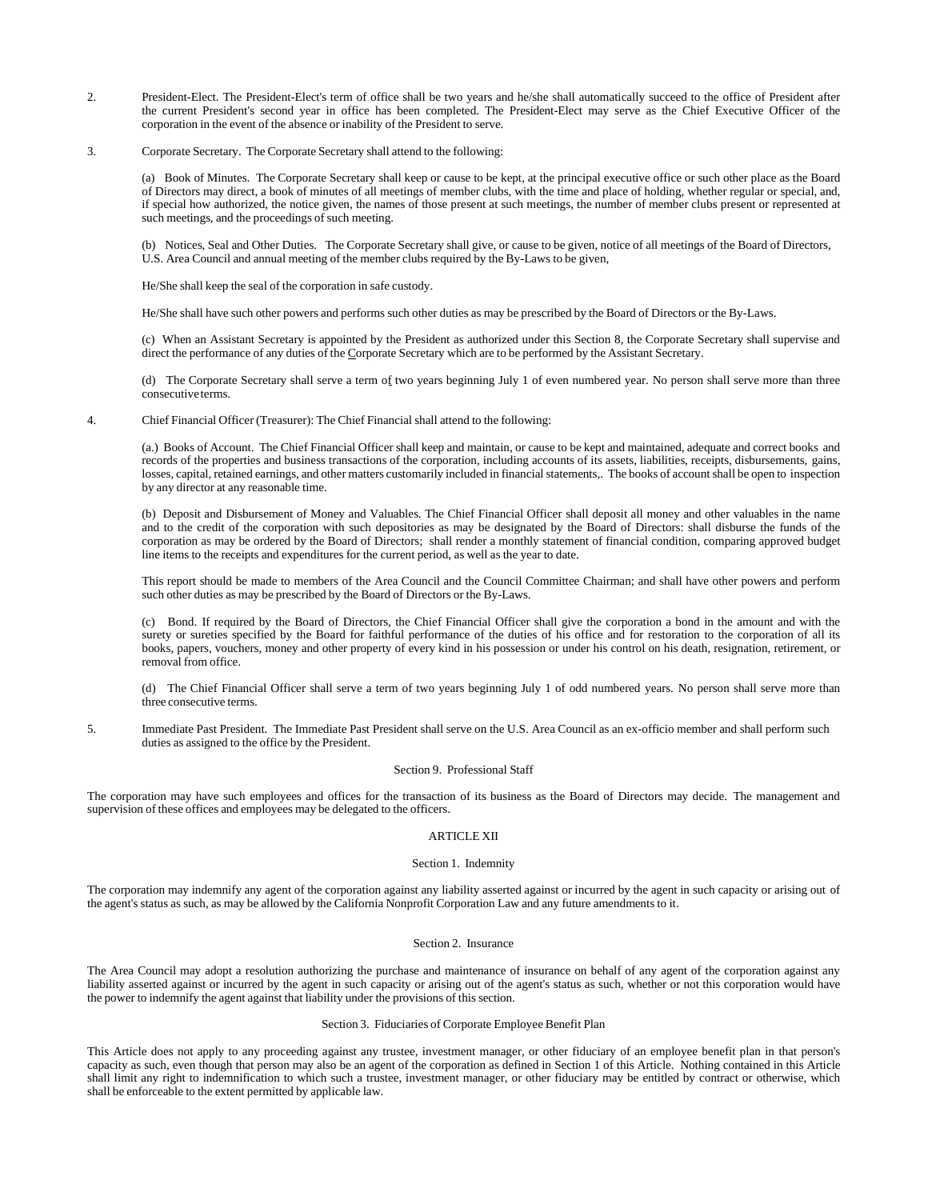- 2. President-Elect. The President-Elect's term of office shall be two years and he/she shall automatically succeed to the office of President after the current President's second year in office has been completed. The President-Elect may serve as the Chief Executive Officer of the corporation in the event of the absence or inability of the President to serve.
- 3. Corporate Secretary. The Corporate Secretary shall attend to the following:

(a) Book of Minutes. The Corporate Secretary shall keep or cause to be kept, at the principal executive office or such other place as the Board of Directors may direct, a book of minutes of all meetings of member clubs, with the time and place of holding, whether regular or special, and, if special how authorized, the notice given, the names of those present at such meetings, the number of member clubs present or represented at such meetings, and the proceedings of such meeting.

(b) Notices, Seal and Other Duties. The Corporate Secretary shall give, or cause to be given, notice of all meetings of the Board of Directors, U.S. Area Council and annual meeting of the member clubs required by the By-Laws to be given,

He/She shall keep the seal of the corporation in safe custody.

He/She shall have such other powers and performs such other duties as may be prescribed by the Board of Directors or the By-Laws.

(c) When an Assistant Secretary is appointed by the President as authorized under this Section 8, the Corporate Secretary shall supervise and direct the performance of any duties of the Corporate Secretary which are to be performed by the Assistant Secretary.

(d) The Corporate Secretary shall serve a term of two years beginning July 1 of even numbered year. No person shall serve more than three consecutiveterms.

4. Chief Financial Officer (Treasurer): The Chief Financial shall attend to the following:

(a.) Books of Account. The Chief Financial Officer shall keep and maintain, or cause to be kept and maintained, adequate and correct books and records of the properties and business transactions of the corporation, including accounts of its assets, liabilities, receipts, disbursements, gains, losses, capital, retained earnings, and other matters customarily included in financial statements,. The books of account shall be open to inspection by any director at any reasonable time.

(b) Deposit and Disbursement of Money and Valuables. The Chief Financial Officer shall deposit all money and other valuables in the name and to the credit of the corporation with such depositories as may be designated by the Board of Directors: shall disburse the funds of the corporation as may be ordered by the Board of Directors; shall render a monthly statement of financial condition, comparing approved budget line items to the receipts and expenditures for the current period, as well as the year to date.

This report should be made to members of the Area Council and the Council Committee Chairman; and shall have other powers and perform such other duties as may be prescribed by the Board of Directors or the By-Laws.

(c) Bond. If required by the Board of Directors, the Chief Financial Officer shall give the corporation a bond in the amount and with the surety or sureties specified by the Board for faithful performance of the duties of his office and for restoration to the corporation of all its books, papers, vouchers, money and other property of every kind in his possession or under his control on his death, resignation, retirement, or removal from office.

(d) The Chief Financial Officer shall serve a term of two years beginning July 1 of odd numbered years. No person shall serve more than three consecutive terms.

5. Immediate Past President. The Immediate Past President shall serve on the U.S. Area Council as an ex-officio member and shall perform such duties as assigned to the office by the President.

## Section 9. Professional Staff

The corporation may have such employees and offices for the transaction of its business as the Board of Directors may decide. The management and supervision of these offices and employees may be delegated to the officers.

# ARTICLE XII

## Section 1. Indemnity

The corporation may indemnify any agent of the corporation against any liability asserted against or incurred by the agent in such capacity or arising out of the agent's status as such, as may be allowed by the California Nonprofit Corporation Law and any future amendments to it.

# Section 2. Insurance

The Area Council may adopt a resolution authorizing the purchase and maintenance of insurance on behalf of any agent of the corporation against any liability asserted against or incurred by the agent in such capacity or arising out of the agent's status as such, whether or not this corporation would have the power to indemnify the agent against that liability under the provisions of this section.

# Section 3. Fiduciaries of Corporate Employee Benefit Plan

This Article does not apply to any proceeding against any trustee, investment manager, or other fiduciary of an employee benefit plan in that person's capacity as such, even though that person may also be an agent of the corporation as defined in Section 1 of this Article. Nothing contained in this Article shall limit any right to indemnification to which such a trustee, investment manager, or other fiduciary may be entitled by contract or otherwise, which shall be enforceable to the extent permitted by applicable law.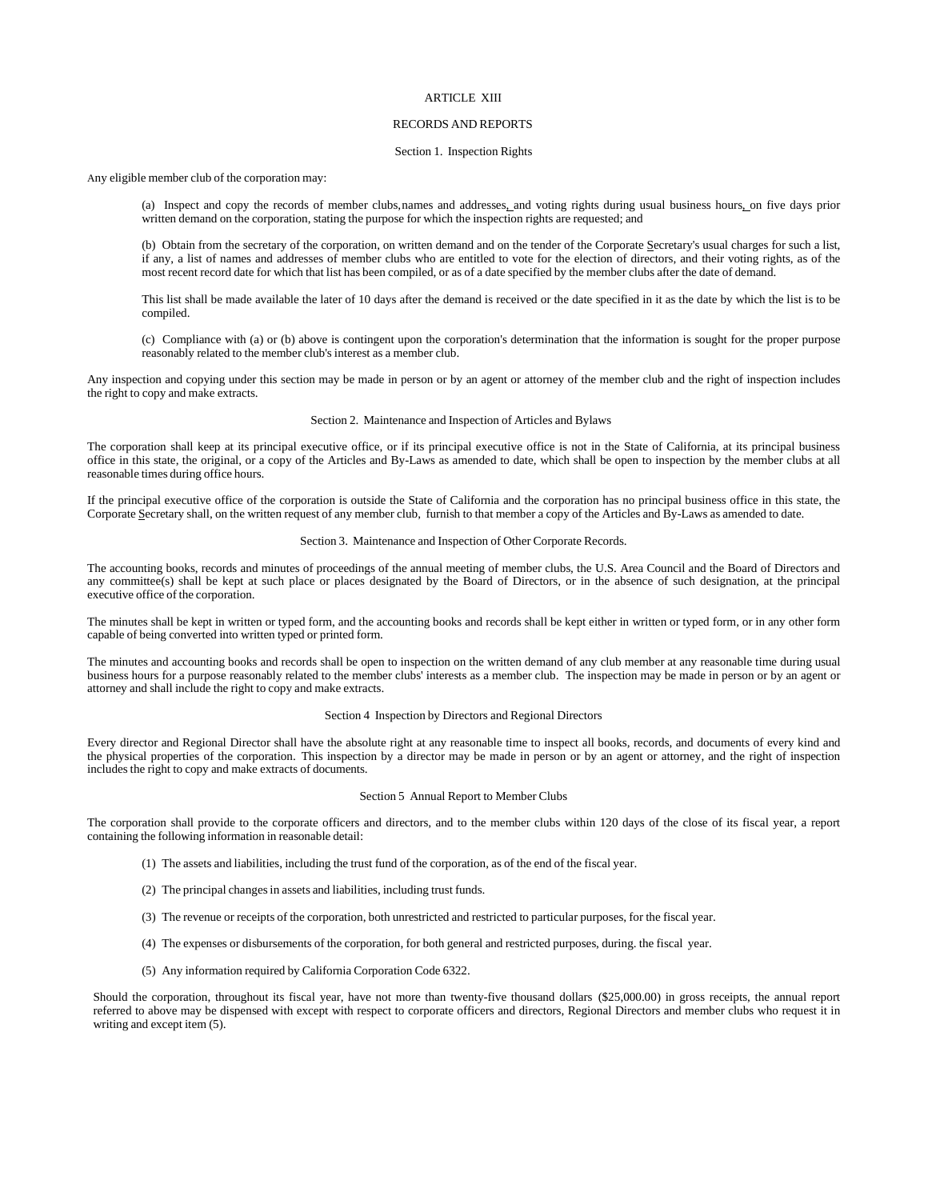### ARTICLE XIII

# RECORDS AND REPORTS

#### Section 1. Inspection Rights

Any eligible member club of the corporation may:

(a) Inspect and copy the records of member clubs,names and addresses, and voting rights during usual business hours, on five days prior written demand on the corporation, stating the purpose for which the inspection rights are requested; and

(b) Obtain from the secretary of the corporation, on written demand and on the tender of the Corporate Secretary's usual charges for such a list, if any, a list of names and addresses of member clubs who are entitled to vote for the election of directors, and their voting rights, as of the most recent record date for which that list has been compiled, or as of a date specified by the member clubs after the date of demand.

This list shall be made available the later of 10 days after the demand is received or the date specified in it as the date by which the list is to be compiled.

(c) Compliance with (a) or (b) above is contingent upon the corporation's determination that the information is sought for the proper purpose reasonably related to the member club's interest as a member club.

Any inspection and copying under this section may be made in person or by an agent or attorney of the member club and the right of inspection includes the right to copy and make extracts.

Section 2. Maintenance and Inspection of Articles and Bylaws

The corporation shall keep at its principal executive office, or if its principal executive office is not in the State of California, at its principal business office in this state, the original, or a copy of the Articles and By-Laws as amended to date, which shall be open to inspection by the member clubs at all reasonable times during office hours.

If the principal executive office of the corporation is outside the State of California and the corporation has no principal business office in this state, the Corporate Secretary shall, on the written request of any member club, furnish to that member a copy of the Articles and By-Laws as amended to date.

### Section 3. Maintenance and Inspection of Other Corporate Records.

The accounting books, records and minutes of proceedings of the annual meeting of member clubs, the U.S. Area Council and the Board of Directors and any committee(s) shall be kept at such place or places designated by the Board of Directors, or in the absence of such designation, at the principal executive office of the corporation.

The minutes shall be kept in written or typed form, and the accounting books and records shall be kept either in written or typed form, or in any other form capable of being converted into written typed or printed form.

The minutes and accounting books and records shall be open to inspection on the written demand of any club member at any reasonable time during usual business hours for a purpose reasonably related to the member clubs' interests as a member club. The inspection may be made in person or by an agent or attorney and shall include the right to copy and make extracts.

## Section 4 Inspection by Directors and Regional Directors

Every director and Regional Director shall have the absolute right at any reasonable time to inspect all books, records, and documents of every kind and the physical properties of the corporation. This inspection by a director may be made in person or by an agent or attorney, and the right of inspection includes the right to copy and make extracts of documents.

#### Section 5 Annual Report to Member Clubs

The corporation shall provide to the corporate officers and directors, and to the member clubs within 120 days of the close of its fiscal year, a report containing the following information in reasonable detail:

- (1) The assets and liabilities, including the trust fund of the corporation, as of the end of the fiscal year.
- (2) The principal changes in assets and liabilities, including trust funds.
- (3) The revenue or receipts of the corporation, both unrestricted and restricted to particular purposes, for the fiscal year.
- (4) The expenses or disbursements of the corporation, for both general and restricted purposes, during. the fiscal year.
- (5) Any information required by California Corporation Code 6322.

Should the corporation, throughout its fiscal year, have not more than twenty-five thousand dollars (\$25,000.00) in gross receipts, the annual report referred to above may be dispensed with except with respect to corporate officers and directors, Regional Directors and member clubs who request it in writing and except item (5).